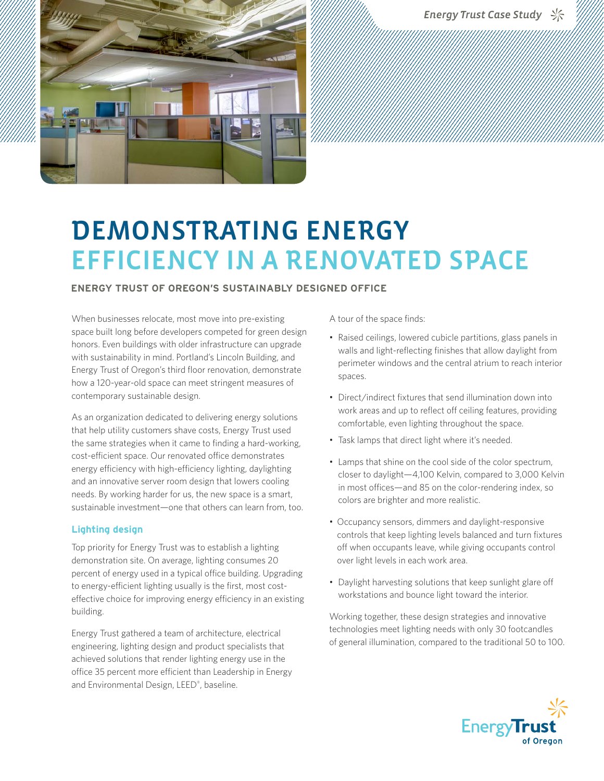Energy Trust Case Study <



# DEMONSTRATING ENERGY EFFICIENCY IN A RENOVATED SPACE

### **ENERGY TRUST OF OREGON'S SUSTAINABLY DESIGNED OFFICE**

When businesses relocate, most move into pre-existing space built long before developers competed for green design honors. Even buildings with older infrastructure can upgrade with sustainability in mind. Portland's Lincoln Building, and Energy Trust of Oregon's third floor renovation, demonstrate how a 120-year-old space can meet stringent measures of contemporary sustainable design.

As an organization dedicated to delivering energy solutions that help utility customers shave costs, Energy Trust used the same strategies when it came to finding a hard-working, cost-efficient space. Our renovated office demonstrates energy efficiency with high-efficiency lighting, daylighting and an innovative server room design that lowers cooling needs. By working harder for us, the new space is a smart, sustainable investment—one that others can learn from, too.

#### **Lighting design**

Top priority for Energy Trust was to establish a lighting demonstration site. On average, lighting consumes 20 percent of energy used in a typical office building. Upgrading to energy-efficient lighting usually is the first, most costeffective choice for improving energy efficiency in an existing building.

Energy Trust gathered a team of architecture, electrical engineering, lighting design and product specialists that achieved solutions that render lighting energy use in the office 35 percent more efficient than Leadership in Energy and Environmental Design, LEED® , baseline.

A tour of the space finds:

- Raised ceilings, lowered cubicle partitions, glass panels in walls and light-reflecting finishes that allow daylight from perimeter windows and the central atrium to reach interior spaces.
- Direct/indirect fixtures that send illumination down into work areas and up to reflect off ceiling features, providing comfortable, even lighting throughout the space.
- Task lamps that direct light where it's needed.
- Lamps that shine on the cool side of the color spectrum, closer to daylight—4,100 Kelvin, compared to 3,000 Kelvin in most offices—and 85 on the color-rendering index, so colors are brighter and more realistic.
- Occupancy sensors, dimmers and daylight-responsive controls that keep lighting levels balanced and turn fixtures off when occupants leave, while giving occupants control over light levels in each work area.
- Daylight harvesting solutions that keep sunlight glare off workstations and bounce light toward the interior.

Working together, these design strategies and innovative technologies meet lighting needs with only 30 footcandles of general illumination, compared to the traditional 50 to 100.

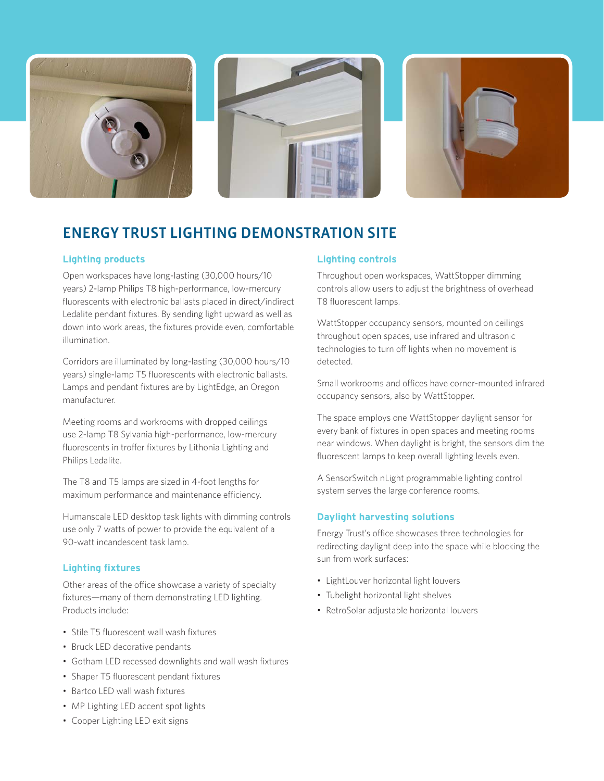





# ENERGY TRUST LIGHTING DEMONSTRATION SITE

### **Lighting products**

Open workspaces have long-lasting (30,000 hours/10 years) 2-lamp Philips T8 high-performance, low-mercury fluorescents with electronic ballasts placed in direct/indirect Ledalite pendant fixtures. By sending light upward as well as down into work areas, the fixtures provide even, comfortable illumination.

Corridors are illuminated by long-lasting (30,000 hours/10 years) single-lamp T5 fluorescents with electronic ballasts. Lamps and pendant fixtures are by LightEdge, an Oregon manufacturer.

Meeting rooms and workrooms with dropped ceilings use 2-lamp T8 Sylvania high-performance, low-mercury fluorescents in troffer fixtures by Lithonia Lighting and Philips Ledalite.

The T8 and T5 lamps are sized in 4-foot lengths for maximum performance and maintenance efficiency.

Humanscale LED desktop task lights with dimming controls use only 7 watts of power to provide the equivalent of a 90-watt incandescent task lamp.

#### **Lighting fixtures**

Other areas of the office showcase a variety of specialty fixtures—many of them demonstrating LED lighting. Products include:

- Stile T5 fluorescent wall wash fixtures
- Bruck LED decorative pendants
- Gotham LED recessed downlights and wall wash fixtures
- Shaper T5 fluorescent pendant fixtures
- Bartco LED wall wash fixtures
- MP Lighting LED accent spot lights
- Cooper Lighting LED exit signs

## **Lighting controls**

Throughout open workspaces, WattStopper dimming controls allow users to adjust the brightness of overhead T8 fluorescent lamps.

WattStopper occupancy sensors, mounted on ceilings throughout open spaces, use infrared and ultrasonic technologies to turn off lights when no movement is detected.

Small workrooms and offices have corner-mounted infrared occupancy sensors, also by WattStopper.

The space employs one WattStopper daylight sensor for every bank of fixtures in open spaces and meeting rooms near windows. When daylight is bright, the sensors dim the fluorescent lamps to keep overall lighting levels even.

A SensorSwitch nLight programmable lighting control system serves the large conference rooms.

## **Daylight harvesting solutions**

Energy Trust's office showcases three technologies for redirecting daylight deep into the space while blocking the sun from work surfaces:

- LightLouver horizontal light louvers
- Tubelight horizontal light shelves
- RetroSolar adjustable horizontal louvers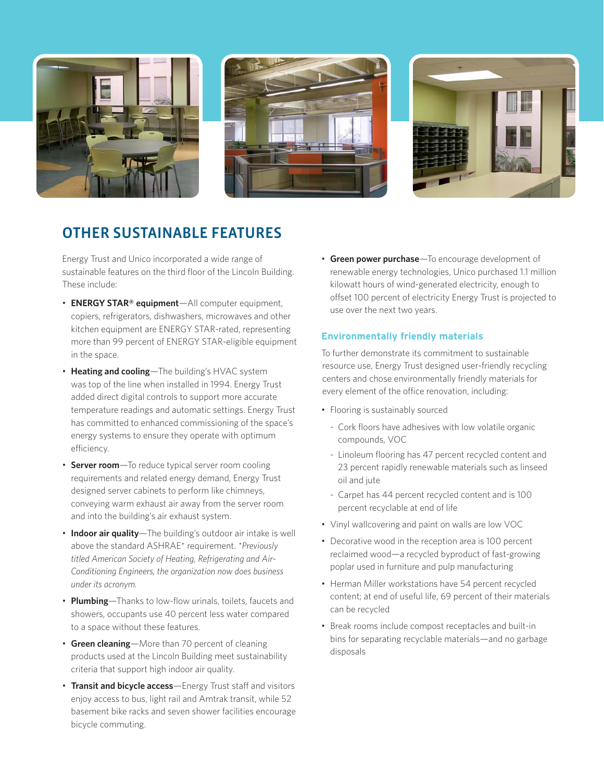





# OTHER SUSTAINABLE FEATURES

Energy Trust and Unico incorporated a wide range of sustainable features on the third floor of the Lincoln Building. These include:

- **ENERGY STAR® equipment**—All computer equipment, copiers, refrigerators, dishwashers, microwaves and other kitchen equipment are ENERGY STAR-rated, representing more than 99 percent of ENERGY STAR-eligible equipment in the space.
- Heating and cooling—The building's HVAC system was top of the line when installed in 1994. Energy Trust added direct digital controls to support more accurate temperature readings and automatic settings. Energy Trust has committed to enhanced commissioning of the space's energy systems to ensure they operate with optimum efficiency.
- **Server room**—To reduce typical server room cooling requirements and related energy demand, Energy Trust designed server cabinets to perform like chimneys, conveying warm exhaust air away from the server room and into the building's air exhaust system.
- Indoor air quality—The building's outdoor air intake is well above the standard ASHRAE<sup>\*</sup> requirement. \*Previously *titled American Society of Heating, Refrigerating and Air-Conditioning Engineers, the organization now does business under its acronym.*
- **Plumbing**—Thanks to low-flow urinals, toilets, faucets and showers, occupants use 40 percent less water compared to a space without these features.
- Green cleaning-More than 70 percent of cleaning products used at the Lincoln Building meet sustainability criteria that support high indoor air quality.
- Transit and bicycle access-Energy Trust staff and visitors enjoy access to bus, light rail and Amtrak transit, while 52 basement bike racks and seven shower facilities encourage bicycle commuting.

• **Green power purchase**—To encourage development of renewable energy technologies, Unico purchased 1.1 million kilowatt hours of wind-generated electricity, enough to offset 100 percent of electricity Energy Trust is projected to use over the next two years.

## **Environmentally friendly materials**

To further demonstrate its commitment to sustainable resource use, Energy Trust designed user-friendly recycling centers and chose environmentally friendly materials for every element of the office renovation, including:

- Flooring is sustainably sourced
	- Cork floors have adhesives with low volatile organic compounds, VOC
	- Linoleum flooring has 47 percent recycled content and 23 percent rapidly renewable materials such as linseed oil and jute
	- Carpet has 44 percent recycled content and is 100 percent recyclable at end of life
- Vinyl wallcovering and paint on walls are low VOC
- Decorative wood in the reception area is 100 percent reclaimed wood—a recycled byproduct of fast-growing poplar used in furniture and pulp manufacturing
- Herman Miller workstations have 54 percent recycled content; at end of useful life, 69 percent of their materials can be recycled
- Break rooms include compost receptacles and built-in bins for separating recyclable materials—and no garbage disposals